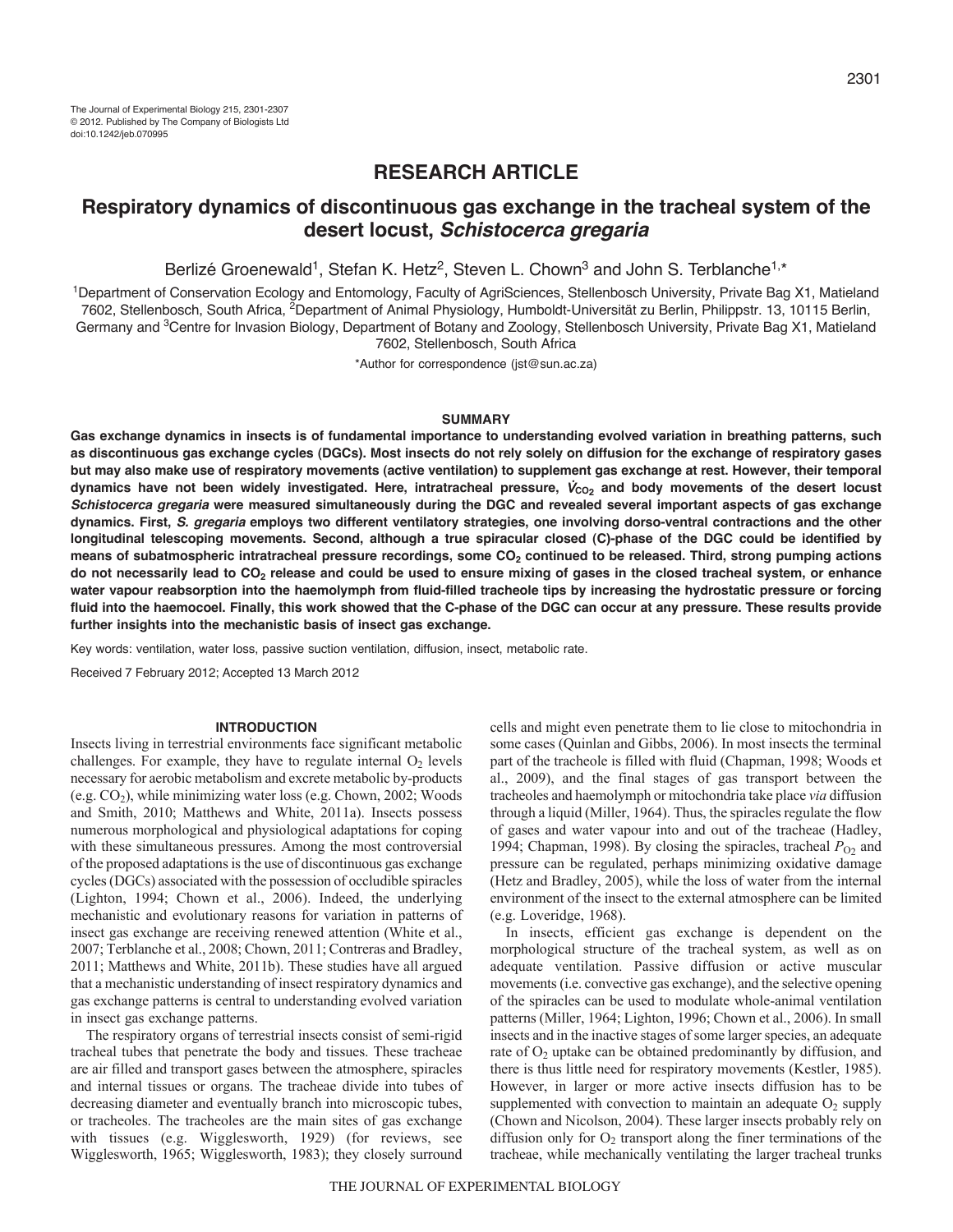# **RESEARCH ARTICLE**

# **Respiratory dynamics of discontinuous gas exchange in the tracheal system of the desert locust,** *Schistocerca gregaria*

Berlizé Groenewald<sup>1</sup>, Stefan K. Hetz<sup>2</sup>, Steven L. Chown<sup>3</sup> and John S. Terblanche<sup>1,\*</sup>

1Department of Conservation Ecology and Entomology, Faculty of AgriSciences, Stellenbosch University, Private Bag X1, Matieland 7602, Stellenbosch, South Africa, 2Department of Animal Physiology, Humboldt-Universität zu Berlin, Philippstr. 13, 10115 Berlin, Germany and <sup>3</sup>Centre for Invasion Biology, Department of Botany and Zoology, Stellenbosch University, Private Bag X1, Matieland 7602, Stellenbosch, South Africa

\*Author for correspondence (jst@sun.ac.za)

# **SUMMARY**

**Gas exchange dynamics in insects is of fundamental importance to understanding evolved variation in breathing patterns, such as discontinuous gas exchange cycles (DGCs). Most insects do not rely solely on diffusion for the exchange of respiratory gases but may also make use of respiratory movements (active ventilation) to supplement gas exchange at rest. However, their temporal** dynamics have not been widely investigated. Here, intratracheal pressure,  $V_{CO_2}$  and body movements of the desert locust *Schistocerca gregaria* **were measured simultaneously during the DGC and revealed several important aspects of gas exchange dynamics. First,** *S. gregaria* **employs two different ventilatory strategies, one involving dorso-ventral contractions and the other longitudinal telescoping movements. Second, although a true spiracular closed (C)-phase of the DGC could be identified by** means of subatmospheric intratracheal pressure recordings, some CO<sub>2</sub> continued to be released. Third, strong pumping actions **do not necessarily lead to CO2 release and could be used to ensure mixing of gases in the closed tracheal system, or enhance water vapour reabsorption into the haemolymph from fluid-filled tracheole tips by increasing the hydrostatic pressure or forcing fluid into the haemocoel. Finally, this work showed that the C-phase of the DGC can occur at any pressure. These results provide further insights into the mechanistic basis of insect gas exchange.**

Key words: ventilation, water loss, passive suction ventilation, diffusion, insect, metabolic rate.

Received 7 February 2012; Accepted 13 March 2012

### **INTRODUCTION**

Insects living in terrestrial environments face significant metabolic challenges. For example, they have to regulate internal  $O_2$  levels necessary for aerobic metabolism and excrete metabolic by-products  $(e.g. CO<sub>2</sub>)$ , while minimizing water loss  $(e.g. Chown, 2002; Woods)$ and Smith, 2010; Matthews and White, 2011a). Insects possess numerous morphological and physiological adaptations for coping with these simultaneous pressures. Among the most controversial of the proposed adaptations is the use of discontinuous gas exchange cycles (DGCs) associated with the possession of occludible spiracles (Lighton, 1994; Chown et al., 2006). Indeed, the underlying mechanistic and evolutionary reasons for variation in patterns of insect gas exchange are receiving renewed attention (White et al., 2007; Terblanche et al., 2008; Chown, 2011; Contreras and Bradley, 2011; Matthews and White, 2011b). These studies have all argued that a mechanistic understanding of insect respiratory dynamics and gas exchange patterns is central to understanding evolved variation in insect gas exchange patterns.

The respiratory organs of terrestrial insects consist of semi-rigid tracheal tubes that penetrate the body and tissues. These tracheae are air filled and transport gases between the atmosphere, spiracles and internal tissues or organs. The tracheae divide into tubes of decreasing diameter and eventually branch into microscopic tubes, or tracheoles. The tracheoles are the main sites of gas exchange with tissues (e.g. Wigglesworth, 1929) (for reviews, see Wigglesworth, 1965; Wigglesworth, 1983); they closely surround

cells and might even penetrate them to lie close to mitochondria in some cases (Quinlan and Gibbs, 2006). In most insects the terminal part of the tracheole is filled with fluid (Chapman, 1998; Woods et al., 2009), and the final stages of gas transport between the tracheoles and haemolymph or mitochondria take place *via* diffusion through a liquid (Miller, 1964). Thus, the spiracles regulate the flow of gases and water vapour into and out of the tracheae (Hadley, 1994; Chapman, 1998). By closing the spiracles, tracheal  $P<sub>O2</sub>$  and pressure can be regulated, perhaps minimizing oxidative damage (Hetz and Bradley, 2005), while the loss of water from the internal environment of the insect to the external atmosphere can be limited (e.g. Loveridge, 1968).

In insects, efficient gas exchange is dependent on the morphological structure of the tracheal system, as well as on adequate ventilation. Passive diffusion or active muscular movements (i.e. convective gas exchange), and the selective opening of the spiracles can be used to modulate whole-animal ventilation patterns (Miller, 1964; Lighton, 1996; Chown et al., 2006). In small insects and in the inactive stages of some larger species, an adequate rate of  $O<sub>2</sub>$  uptake can be obtained predominantly by diffusion, and there is thus little need for respiratory movements (Kestler, 1985). However, in larger or more active insects diffusion has to be supplemented with convection to maintain an adequate  $O_2$  supply (Chown and Nicolson, 2004). These larger insects probably rely on diffusion only for  $O_2$  transport along the finer terminations of the tracheae, while mechanically ventilating the larger tracheal trunks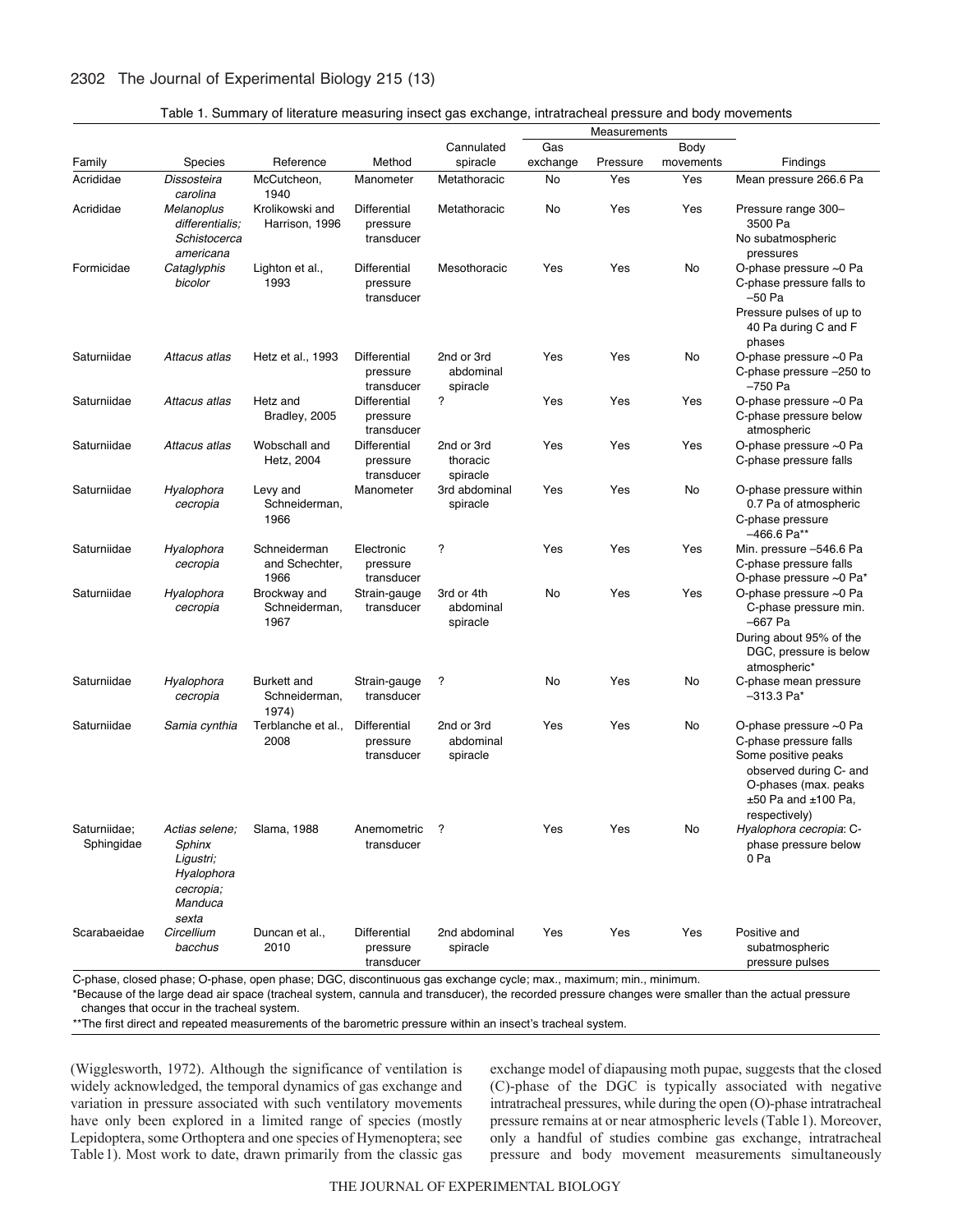# 2302 The Journal of Experimental Biology 215 (13)

|  |  | Table 1. Summary of literature measuring insect gas exchange, intratracheal pressure and body movements |
|--|--|---------------------------------------------------------------------------------------------------------|
|  |  |                                                                                                         |

|                            |                                                                                      |                                        |                                        | Measurements                        |          |          |           |                                                                                                                                                                       |
|----------------------------|--------------------------------------------------------------------------------------|----------------------------------------|----------------------------------------|-------------------------------------|----------|----------|-----------|-----------------------------------------------------------------------------------------------------------------------------------------------------------------------|
|                            |                                                                                      |                                        |                                        | Cannulated                          | Gas      |          | Body      |                                                                                                                                                                       |
| Family                     | Species                                                                              | Reference                              | Method                                 | spiracle                            | exchange | Pressure | movements | Findings                                                                                                                                                              |
| Acrididae                  | Dissosteira<br>carolina                                                              | McCutcheon,<br>1940                    | Manometer                              | Metathoracic                        | No       | Yes      | Yes       | Mean pressure 266.6 Pa                                                                                                                                                |
| Acrididae                  | Melanoplus<br>differentialis;                                                        | Krolikowski and<br>Harrison, 1996      | Differential<br>pressure               | Metathoracic                        | No       | Yes      | Yes       | Pressure range 300-<br>3500 Pa                                                                                                                                        |
|                            | Schistocerca<br>americana                                                            |                                        | transducer                             |                                     |          |          |           | No subatmospheric<br>pressures                                                                                                                                        |
| Formicidae                 | Cataglyphis<br>bicolor                                                               | Lighton et al.,<br>1993                | Differential<br>pressure<br>transducer | Mesothoracic                        | Yes      | Yes      | No        | O-phase pressure ~0 Pa<br>C-phase pressure falls to<br>–50 Pa<br>Pressure pulses of up to<br>40 Pa during C and F                                                     |
| Saturniidae                | Attacus atlas                                                                        | Hetz et al., 1993                      | Differential<br>pressure<br>transducer | 2nd or 3rd<br>abdominal<br>spiracle | Yes      | Yes      | No        | phases<br>O-phase pressure ~0 Pa<br>C-phase pressure -250 to<br>-750 Pa                                                                                               |
| Saturniidae                | Attacus atlas                                                                        | Hetz and<br>Bradley, 2005              | Differential<br>pressure<br>transducer | ?                                   | Yes      | Yes      | Yes       | O-phase pressure ~0 Pa<br>C-phase pressure below<br>atmospheric                                                                                                       |
| Saturniidae                | Attacus atlas                                                                        | Wobschall and<br>Hetz, 2004            | Differential<br>pressure<br>transducer | 2nd or 3rd<br>thoracic<br>spiracle  | Yes      | Yes      | Yes       | O-phase pressure ~0 Pa<br>C-phase pressure falls                                                                                                                      |
| Saturniidae                | Hyalophora<br>cecropia                                                               | Levy and<br>Schneiderman,<br>1966      | Manometer                              | 3rd abdominal<br>spiracle           | Yes      | Yes      | No        | O-phase pressure within<br>0.7 Pa of atmospheric<br>C-phase pressure<br>–466.6 Pa**                                                                                   |
| Saturniidae                | Hyalophora<br>cecropia                                                               | Schneiderman<br>and Schechter,<br>1966 | Electronic<br>pressure<br>transducer   | ?                                   | Yes      | Yes      | Yes       | Min. pressure -546.6 Pa<br>C-phase pressure falls<br>O-phase pressure $\sim$ 0 Pa $^*$                                                                                |
| Saturniidae                | Hyalophora<br>cecropia                                                               | Brockway and<br>Schneiderman,<br>1967  | Strain-gauge<br>transducer             | 3rd or 4th<br>abdominal<br>spiracle | No       | Yes      | Yes       | O-phase pressure ~0 Pa<br>C-phase pressure min.<br>–667 Pa<br>During about 95% of the<br>DGC, pressure is below                                                       |
| Saturniidae                | Hyalophora<br>cecropia                                                               | Burkett and<br>Schneiderman,<br>1974)  | Strain-gauge<br>transducer             | ?                                   | No       | Yes      | No        | atmospheric*<br>C-phase mean pressure<br>$-313.3$ Pa*                                                                                                                 |
| Saturniidae                | Samia cynthia                                                                        | Terblanche et al.,<br>2008             | Differential<br>pressure<br>transducer | 2nd or 3rd<br>abdominal<br>spiracle | Yes      | Yes      | No        | O-phase pressure ~0 Pa<br>C-phase pressure falls<br>Some positive peaks<br>observed during C- and<br>O-phases (max. peaks<br>$±50$ Pa and $±100$ Pa,<br>respectively) |
| Saturniidae;<br>Sphingidae | Actias selene;<br>Sphinx<br>Ligustri;<br>Hyalophora<br>cecropia;<br>Manduca<br>sexta | Slama, 1988                            | Anemometric<br>transducer              | ?                                   | Yes      | Yes      | No        | Hyalophora cecropia: C-<br>phase pressure below<br>0 Pa                                                                                                               |
| Scarabaeidae               | Circellium<br>bacchus                                                                | Duncan et al.,<br>2010                 | Differential<br>pressure<br>transducer | 2nd abdominal<br>spiracle           | Yes      | Yes      | Yes       | Positive and<br>subatmospheric<br>pressure pulses                                                                                                                     |

C-phase, closed phase; O-phase, open phase; DGC, discontinuous gas exchange cycle; max., maximum; min., minimum.

\*Because of the large dead air space (tracheal system, cannula and transducer), the recorded pressure changes were smaller than the actual pressure changes that occur in the tracheal system.

\*\*The first direct and repeated measurements of the barometric pressure within an insect's tracheal system.

(Wigglesworth, 1972). Although the significance of ventilation is widely acknowledged, the temporal dynamics of gas exchange and variation in pressure associated with such ventilatory movements have only been explored in a limited range of species (mostly Lepidoptera, some Orthoptera and one species of Hymenoptera; see Table1). Most work to date, drawn primarily from the classic gas exchange model of diapausing moth pupae, suggests that the closed (C)-phase of the DGC is typically associated with negative intratracheal pressures, while during the open (O)-phase intratracheal pressure remains at or near atmospheric levels (Table1). Moreover, only a handful of studies combine gas exchange, intratracheal pressure and body movement measurements simultaneously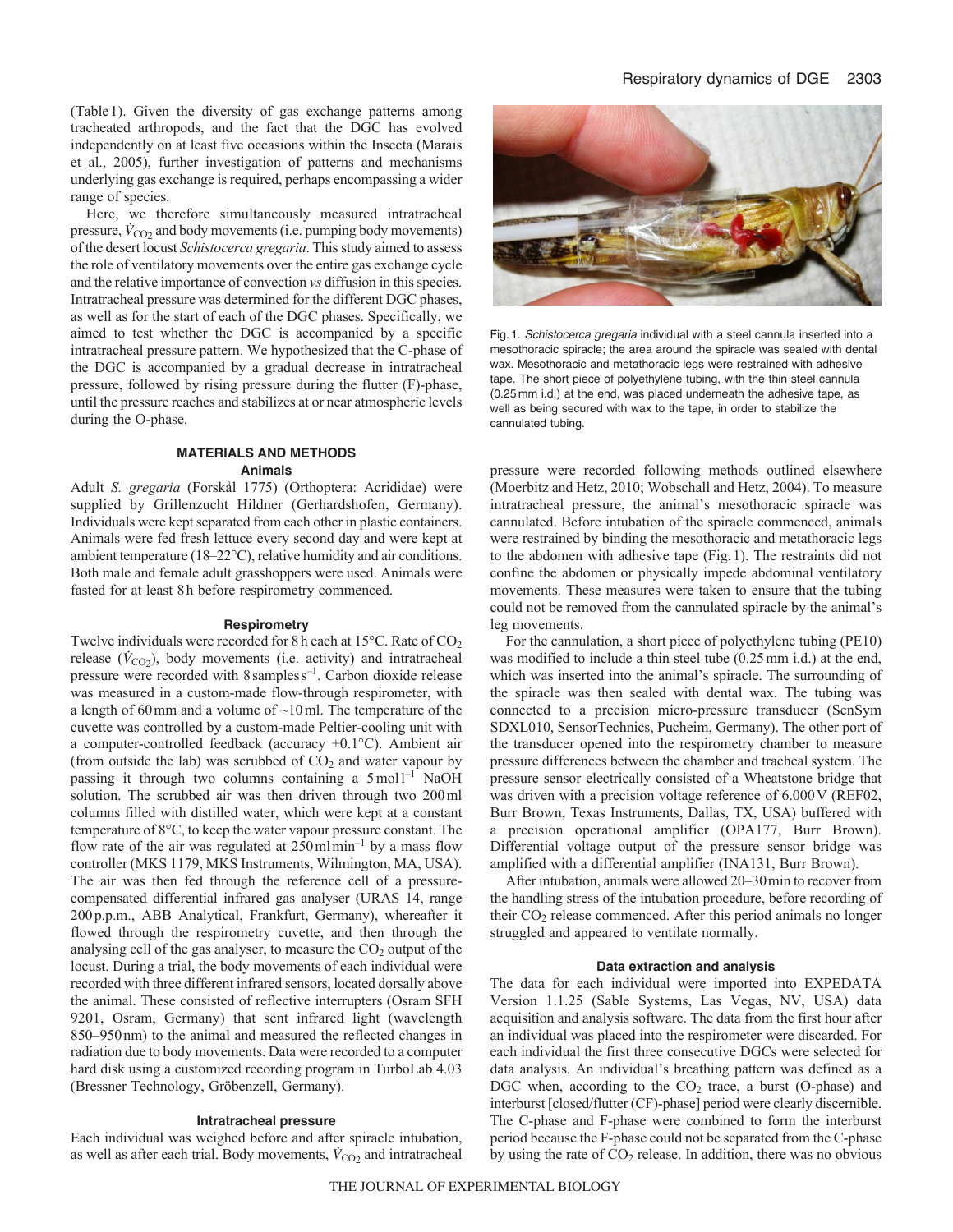(Table1). Given the diversity of gas exchange patterns among tracheated arthropods, and the fact that the DGC has evolved independently on at least five occasions within the Insecta (Marais et al., 2005), further investigation of patterns and mechanisms underlying gas exchange is required, perhaps encompassing a wider range of species.

Here, we therefore simultaneously measured intratracheal pressure,  $\dot{V}_{\text{CO2}}$  and body movements (i.e. pumping body movements) of the desert locust *Schistocerca gregaria*. This study aimed to assess the role of ventilatory movements over the entire gas exchange cycle and the relative importance of convection *vs* diffusion in this species. Intratracheal pressure was determined for the different DGC phases, as well as for the start of each of the DGC phases. Specifically, we aimed to test whether the DGC is accompanied by a specific intratracheal pressure pattern. We hypothesized that the C-phase of the DGC is accompanied by a gradual decrease in intratracheal pressure, followed by rising pressure during the flutter (F)-phase, until the pressure reaches and stabilizes at or near atmospheric levels during the O-phase.

# **MATERIALS AND METHODS Animals**

Adult *S. gregaria* (Forskål 1775) (Orthoptera: Acrididae) were supplied by Grillenzucht Hildner (Gerhardshofen, Germany). Individuals were kept separated from each other in plastic containers. Animals were fed fresh lettuce every second day and were kept at ambient temperature (18–22°C), relative humidity and air conditions. Both male and female adult grasshoppers were used. Animals were fasted for at least 8h before respirometry commenced.

#### **Respirometry**

Twelve individuals were recorded for 8h each at 15°C. Rate of CO<sub>2</sub> release  $(\dot{V}_{CO_2})$ , body movements (i.e. activity) and intratracheal pressure were recorded with 8sampless–1. Carbon dioxide release was measured in a custom-made flow-through respirometer, with a length of 60mm and a volume of ~10ml. The temperature of the cuvette was controlled by a custom-made Peltier-cooling unit with a computer-controlled feedback (accuracy ±0.1°C). Ambient air (from outside the lab) was scrubbed of  $CO<sub>2</sub>$  and water vapour by passing it through two columns containing a  $5 \text{ mol}^{-1}$  NaOH solution. The scrubbed air was then driven through two 200ml columns filled with distilled water, which were kept at a constant temperature of 8°C, to keep the water vapour pressure constant. The flow rate of the air was regulated at  $250 \text{ml} \text{min}^{-1}$  by a mass flow controller (MKS 1179, MKS Instruments, Wilmington, MA, USA). The air was then fed through the reference cell of a pressurecompensated differential infrared gas analyser (URAS 14, range 200p.p.m., ABB Analytical, Frankfurt, Germany), whereafter it flowed through the respirometry cuvette, and then through the analysing cell of the gas analyser, to measure the  $CO<sub>2</sub>$  output of the locust. During a trial, the body movements of each individual were recorded with three different infrared sensors, located dorsally above the animal. These consisted of reflective interrupters (Osram SFH 9201, Osram, Germany) that sent infrared light (wavelength 850–950nm) to the animal and measured the reflected changes in radiation due to body movements. Data were recorded to a computer hard disk using a customized recording program in TurboLab 4.03 (Bressner Technology, Gröbenzell, Germany).

## **Intratracheal pressure**

Each individual was weighed before and after spiracle intubation, as well as after each trial. Body movements,  $\dot{V}_{CO2}$  and intratracheal



Fig. 1. *Schistocerca gregaria* individual with a steel cannula inserted into a mesothoracic spiracle; the area around the spiracle was sealed with dental wax. Mesothoracic and metathoracic legs were restrained with adhesive tape. The short piece of polyethylene tubing, with the thin steel cannula (0.25 mm i.d.) at the end, was placed underneath the adhesive tape, as well as being secured with wax to the tape, in order to stabilize the cannulated tubing.

pressure were recorded following methods outlined elsewhere (Moerbitz and Hetz, 2010; Wobschall and Hetz, 2004). To measure intratracheal pressure, the animal's mesothoracic spiracle was cannulated. Before intubation of the spiracle commenced, animals were restrained by binding the mesothoracic and metathoracic legs to the abdomen with adhesive tape (Fig.1). The restraints did not confine the abdomen or physically impede abdominal ventilatory movements. These measures were taken to ensure that the tubing could not be removed from the cannulated spiracle by the animal's leg movements.

For the cannulation, a short piece of polyethylene tubing (PE10) was modified to include a thin steel tube (0.25mm i.d.) at the end, which was inserted into the animal's spiracle. The surrounding of the spiracle was then sealed with dental wax. The tubing was connected to a precision micro-pressure transducer (SenSym SDXL010, SensorTechnics, Pucheim, Germany). The other port of the transducer opened into the respirometry chamber to measure pressure differences between the chamber and tracheal system. The pressure sensor electrically consisted of a Wheatstone bridge that was driven with a precision voltage reference of  $6.000V$  (REF02, Burr Brown, Texas Instruments, Dallas, TX, USA) buffered with a precision operational amplifier (OPA177, Burr Brown). Differential voltage output of the pressure sensor bridge was amplified with a differential amplifier (INA131, Burr Brown).

After intubation, animals were allowed 20–30min to recover from the handling stress of the intubation procedure, before recording of their CO<sub>2</sub> release commenced. After this period animals no longer struggled and appeared to ventilate normally.

#### **Data extraction and analysis**

The data for each individual were imported into EXPEDATA Version 1.1.25 (Sable Systems, Las Vegas, NV, USA) data acquisition and analysis software. The data from the first hour after an individual was placed into the respirometer were discarded. For each individual the first three consecutive DGCs were selected for data analysis. An individual's breathing pattern was defined as a DGC when, according to the  $CO<sub>2</sub>$  trace, a burst (O-phase) and interburst [closed/flutter (CF)-phase] period were clearly discernible. The C-phase and F-phase were combined to form the interburst period because the F-phase could not be separated from the C-phase by using the rate of  $CO<sub>2</sub>$  release. In addition, there was no obvious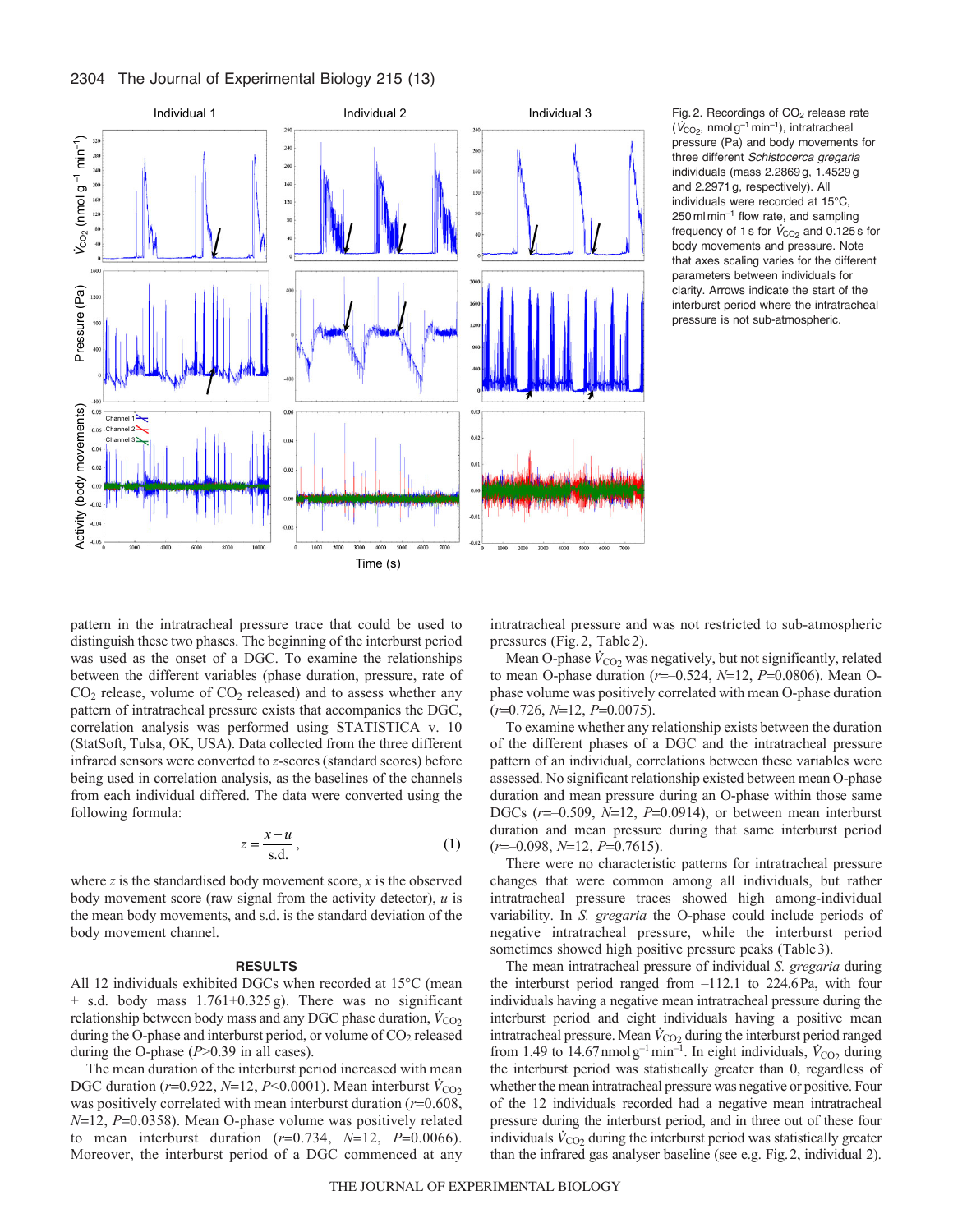# 2304 The Journal of Experimental Biology 215 (13)



Fig. 2. Recordings of  $CO<sub>2</sub>$  release rate  $(\dot{V}_{CO_2}$ , nmol g<sup>-1</sup> min<sup>-1</sup>), intratracheal pressure (Pa) and body movements for three different *Schistocerca gregaria* individuals (mass 2.2869 g, 1.4529 g and 2.2971 g, respectively). All individuals were recorded at 15°C,  $250$  ml min<sup>-1</sup> flow rate, and sampling frequency of 1 s for  $\dot{V}_{\text{CO}_2}$  and 0.125 s for body movements and pressure. Note that axes scaling varies for the different parameters between individuals for clarity. Arrows indicate the start of the interburst period where the intratracheal pressure is not sub-atmospheric.

pattern in the intratracheal pressure trace that could be used to distinguish these two phases. The beginning of the interburst period was used as the onset of a DGC. To examine the relationships between the different variables (phase duration, pressure, rate of  $CO<sub>2</sub>$  release, volume of  $CO<sub>2</sub>$  released) and to assess whether any pattern of intratracheal pressure exists that accompanies the DGC, correlation analysis was performed using STATISTICA v. 10 (StatSoft, Tulsa, OK, USA). Data collected from the three different infrared sensors were converted to *z*-scores (standard scores) before being used in correlation analysis, as the baselines of the channels from each individual differed. The data were converted using the following formula:

$$
z = \frac{x - u}{s.d.},\tag{1}
$$

where *z* is the standardised body movement score, *x* is the observed body movement score (raw signal from the activity detector), *u* is the mean body movements, and s.d. is the standard deviation of the body movement channel.

#### **RESULTS**

All 12 individuals exhibited DGCs when recorded at 15°C (mean  $\pm$  s.d. body mass 1.761 $\pm$ 0.325 g). There was no significant relationship between body mass and any DGC phase duration,  $\dot{V}_{CO_2}$ during the O-phase and interburst period, or volume of CO<sub>2</sub> released during the O-phase (*P*>0.39 in all cases).

The mean duration of the interburst period increased with mean DGC duration ( $r=0.922$ ,  $N=12$ ,  $P<0.0001$ ). Mean interburst  $\dot{V}_{CO_2}$ was positively correlated with mean interburst duration  $(r=0.608,$  $N=12$ ,  $P=0.0358$ ). Mean O-phase volume was positively related to mean interburst duration  $(r=0.734, N=12, P=0.0066)$ . Moreover, the interburst period of a DGC commenced at any intratracheal pressure and was not restricted to sub-atmospheric pressures (Fig.2, Table2).

Mean O-phase  $\dot{V}_{CO_2}$  was negatively, but not significantly, related to mean O-phase duration ( $r = -0.524$ ,  $N = 12$ ,  $P = 0.0806$ ). Mean Ophase volume was positively correlated with mean O-phase duration ( $r=0.726$ ,  $N=12$ ,  $P=0.0075$ ).

To examine whether any relationship exists between the duration of the different phases of a DGC and the intratracheal pressure pattern of an individual, correlations between these variables were assessed. No significant relationship existed between mean O-phase duration and mean pressure during an O-phase within those same DGCs  $(r=-0.509, N=12, P=0.0914)$ , or between mean interburst duration and mean pressure during that same interburst period ( $r=-0.098$ ,  $N=12$ ,  $P=0.7615$ ).

There were no characteristic patterns for intratracheal pressure changes that were common among all individuals, but rather intratracheal pressure traces showed high among-individual variability. In *S. gregaria* the O-phase could include periods of negative intratracheal pressure, while the interburst period sometimes showed high positive pressure peaks (Table 3).

The mean intratracheal pressure of individual *S. gregaria* during the interburst period ranged from –112.1 to 224.6Pa, with four individuals having a negative mean intratracheal pressure during the interburst period and eight individuals having a positive mean intratracheal pressure. Mean  $\dot{V}_{\text{CO}_2}$  during the interburst period ranged from 1.49 to  $14.67$  nmolg<sup>-1</sup> min<sup>-1</sup>. In eight individuals,  $\dot{V}_{CO2}$  during the interburst period was statistically greater than 0, regardless of whether the mean intratracheal pressure was negative or positive. Four of the 12 individuals recorded had a negative mean intratracheal pressure during the interburst period, and in three out of these four individuals  $\dot{V}_{\text{CO}_2}$  during the interburst period was statistically greater than the infrared gas analyser baseline (see e.g. Fig.2, individual 2).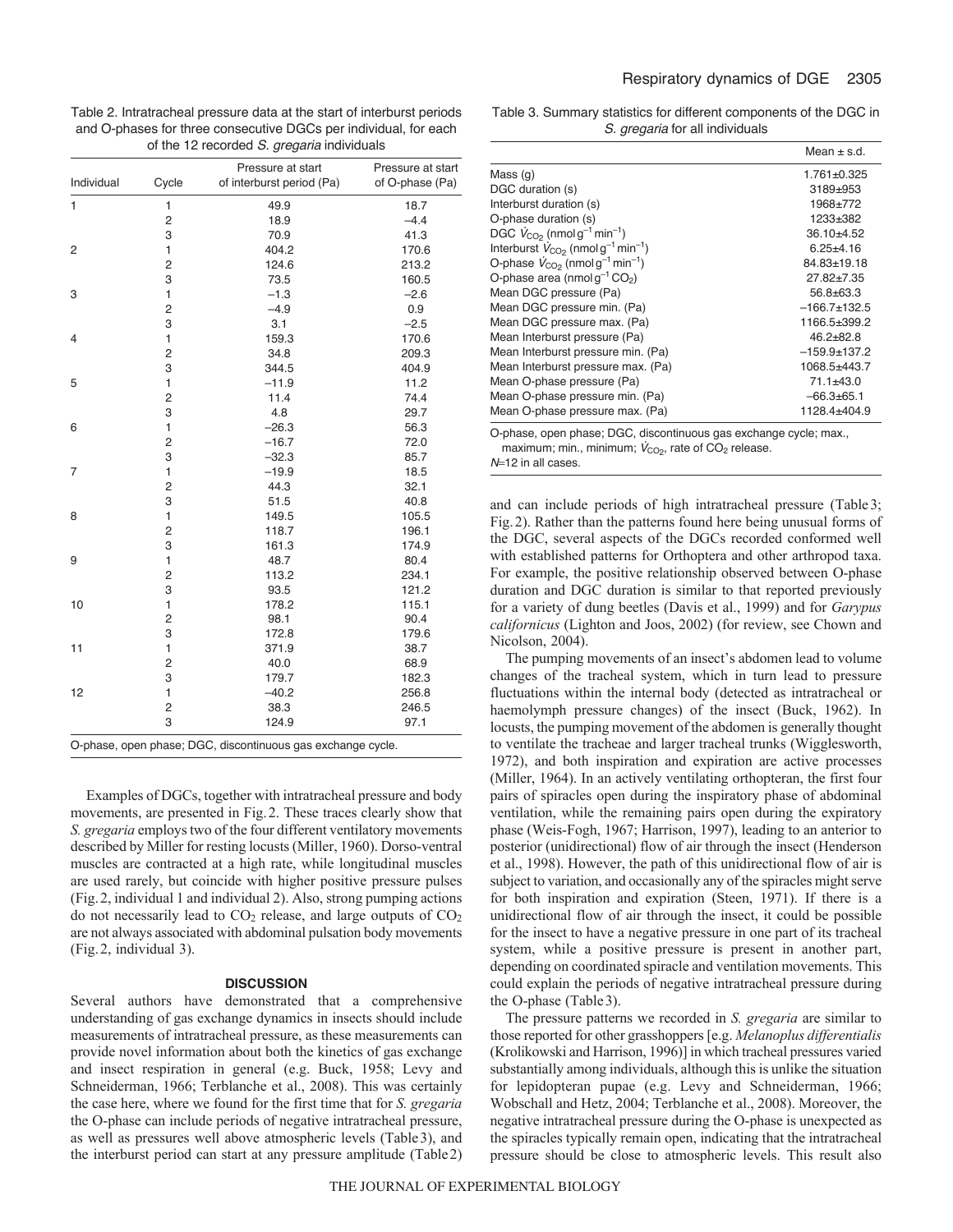Table 2. Intratracheal pressure data at the start of interburst periods and O-phases for three consecutive DGCs per individual, for each of the 12 recorded *S. gregaria* individuals

| Individual   | Cycle                   | Pressure at start<br>of interburst period (Pa)              | Pressure at start<br>of O-phase (Pa) |
|--------------|-------------------------|-------------------------------------------------------------|--------------------------------------|
| $\mathbf{1}$ | 1                       | 49.9                                                        | 18.7                                 |
|              | $\overline{\mathbf{c}}$ | 18.9                                                        | $-4.4$                               |
|              | 3                       | 70.9                                                        | 41.3                                 |
| 2            | 1                       | 404.2                                                       | 170.6                                |
|              | $\overline{c}$          | 124.6                                                       | 213.2                                |
|              | 3                       | 73.5                                                        | 160.5                                |
| 3            | 1                       | $-1.3$                                                      | $-2.6$                               |
|              | $\overline{c}$          | $-4.9$                                                      | 0.9                                  |
|              | 3                       | 3.1                                                         | $-2.5$                               |
| 4            | $\mathbf{1}$            | 159.3                                                       | 170.6                                |
|              | $\overline{c}$          | 34.8                                                        | 209.3                                |
|              | 3                       | 344.5                                                       | 404.9                                |
| 5            | 1                       | $-11.9$                                                     | 11.2                                 |
|              | $\overline{c}$          | 11.4                                                        | 74.4                                 |
|              | 3                       | 4.8                                                         | 29.7                                 |
| 6            | $\mathbf{1}$            | $-26.3$                                                     | 56.3                                 |
|              | $\overline{c}$          | $-16.7$                                                     | 72.0                                 |
|              | 3                       | $-32.3$                                                     | 85.7                                 |
| 7            | $\mathbf{1}$            | $-19.9$                                                     | 18.5                                 |
|              | 2                       | 44.3                                                        | 32.1                                 |
|              | 3                       | 51.5                                                        | 40.8                                 |
| 8            | $\mathbf{1}$            | 149.5                                                       | 105.5                                |
|              | $\overline{c}$          | 118.7                                                       | 196.1                                |
|              | 3                       | 161.3                                                       | 174.9                                |
| 9            | $\mathbf{1}$            | 48.7                                                        | 80.4                                 |
|              | $\overline{c}$          | 113.2                                                       | 234.1                                |
|              | 3                       | 93.5                                                        | 121.2                                |
| 10           | $\mathbf{1}$            | 178.2                                                       | 115.1                                |
|              | 2                       | 98.1                                                        | 90.4                                 |
|              | 3                       | 172.8                                                       | 179.6                                |
| 11           | $\mathbf{1}$            | 371.9                                                       | 38.7                                 |
|              | $\overline{c}$          | 40.0                                                        | 68.9                                 |
|              | 3                       | 179.7                                                       | 182.3                                |
| 12           | $\mathbf{1}$            | $-40.2$                                                     | 256.8                                |
|              | $\overline{c}$          | 38.3                                                        | 246.5                                |
|              | 3                       | 124.9                                                       | 97.1                                 |
|              |                         | O-phase, open phase; DGC, discontinuous gas exchange cycle. |                                      |

Examples of DGCs, together with intratracheal pressure and body movements, are presented in Fig.2. These traces clearly show that *S. gregaria* employs two of the four different ventilatory movements described by Miller for resting locusts (Miller, 1960). Dorso-ventral muscles are contracted at a high rate, while longitudinal muscles are used rarely, but coincide with higher positive pressure pulses (Fig.2, individual 1 and individual 2). Also, strong pumping actions do not necessarily lead to  $CO<sub>2</sub>$  release, and large outputs of  $CO<sub>2</sub>$ are not always associated with abdominal pulsation body movements (Fig.2, individual 3).

## **DISCUSSION**

Several authors have demonstrated that a comprehensive understanding of gas exchange dynamics in insects should include measurements of intratracheal pressure, as these measurements can provide novel information about both the kinetics of gas exchange and insect respiration in general (e.g. Buck, 1958; Levy and Schneiderman, 1966; Terblanche et al., 2008). This was certainly the case here, where we found for the first time that for *S. gregaria* the O-phase can include periods of negative intratracheal pressure, as well as pressures well above atmospheric levels (Table3), and the interburst period can start at any pressure amplitude (Table2)

Table 3. Summary statistics for different components of the DGC in *S. gregaria* for all individuals

|                                                                | Mean $\pm$ s.d. |
|----------------------------------------------------------------|-----------------|
| Mass $(q)$                                                     | $1.761 + 0.325$ |
| DGC duration (s)                                               | 3189±953        |
| Interburst duration (s)                                        | 1968±772        |
| O-phase duration (s)                                           | 1233±382        |
| DGC $V_{CO2}$ (nmol g <sup>-1</sup> min <sup>-1</sup> )        | $36.10 + 4.52$  |
| Interburst $V_{CO2}$ (nmol g <sup>-1</sup> min <sup>-1</sup> ) | $6.25 + 4.16$   |
| O-phase $V_{CO2}$ (nmol g <sup>-1</sup> min <sup>-1</sup> )    | 84.83±19.18     |
| O-phase area (nmol $q^{-1}CO_2$ )                              | $27.82 + 7.35$  |
| Mean DGC pressure (Pa)                                         | $56.8 + 63.3$   |
| Mean DGC pressure min. (Pa)                                    | $-166.7+132.5$  |
| Mean DGC pressure max. (Pa)                                    | 1166.5±399.2    |
| Mean Interburst pressure (Pa)                                  | $46.2 + 82.8$   |
| Mean Interburst pressure min. (Pa)                             | $-159.9+137.2$  |
| Mean Interburst pressure max. (Pa)                             | 1068.5±443.7    |
| Mean O-phase pressure (Pa)                                     | $71.1 + 43.0$   |
| Mean O-phase pressure min. (Pa)                                | $-66.3+65.1$    |
| Mean O-phase pressure max. (Pa)                                | 1128.4±404.9    |

O-phase, open phase; DGC, discontinuous gas exchange cycle; max., maximum; min., minimum;  $V_{CO<sub>2</sub>}$ , rate of  $CO<sub>2</sub>$  release.

*N*=12 in all cases.

and can include periods of high intratracheal pressure (Table3; Fig.2). Rather than the patterns found here being unusual forms of the DGC, several aspects of the DGCs recorded conformed well with established patterns for Orthoptera and other arthropod taxa. For example, the positive relationship observed between O-phase duration and DGC duration is similar to that reported previously for a variety of dung beetles (Davis et al., 1999) and for *Garypus californicus* (Lighton and Joos, 2002) (for review, see Chown and Nicolson, 2004).

The pumping movements of an insect's abdomen lead to volume changes of the tracheal system, which in turn lead to pressure fluctuations within the internal body (detected as intratracheal or haemolymph pressure changes) of the insect (Buck, 1962). In locusts, the pumping movement of the abdomen is generally thought to ventilate the tracheae and larger tracheal trunks (Wigglesworth, 1972), and both inspiration and expiration are active processes (Miller, 1964). In an actively ventilating orthopteran, the first four pairs of spiracles open during the inspiratory phase of abdominal ventilation, while the remaining pairs open during the expiratory phase (Weis-Fogh, 1967; Harrison, 1997), leading to an anterior to posterior (unidirectional) flow of air through the insect (Henderson et al., 1998). However, the path of this unidirectional flow of air is subject to variation, and occasionally any of the spiracles might serve for both inspiration and expiration (Steen, 1971). If there is a unidirectional flow of air through the insect, it could be possible for the insect to have a negative pressure in one part of its tracheal system, while a positive pressure is present in another part, depending on coordinated spiracle and ventilation movements. This could explain the periods of negative intratracheal pressure during the O-phase (Table3).

The pressure patterns we recorded in *S. gregaria* are similar to those reported for other grasshoppers [e.g. *Melanoplus differentialis* (Krolikowski and Harrison, 1996)] in which tracheal pressures varied substantially among individuals, although this is unlike the situation for lepidopteran pupae (e.g. Levy and Schneiderman, 1966; Wobschall and Hetz, 2004; Terblanche et al., 2008). Moreover, the negative intratracheal pressure during the O-phase is unexpected as the spiracles typically remain open, indicating that the intratracheal pressure should be close to atmospheric levels. This result also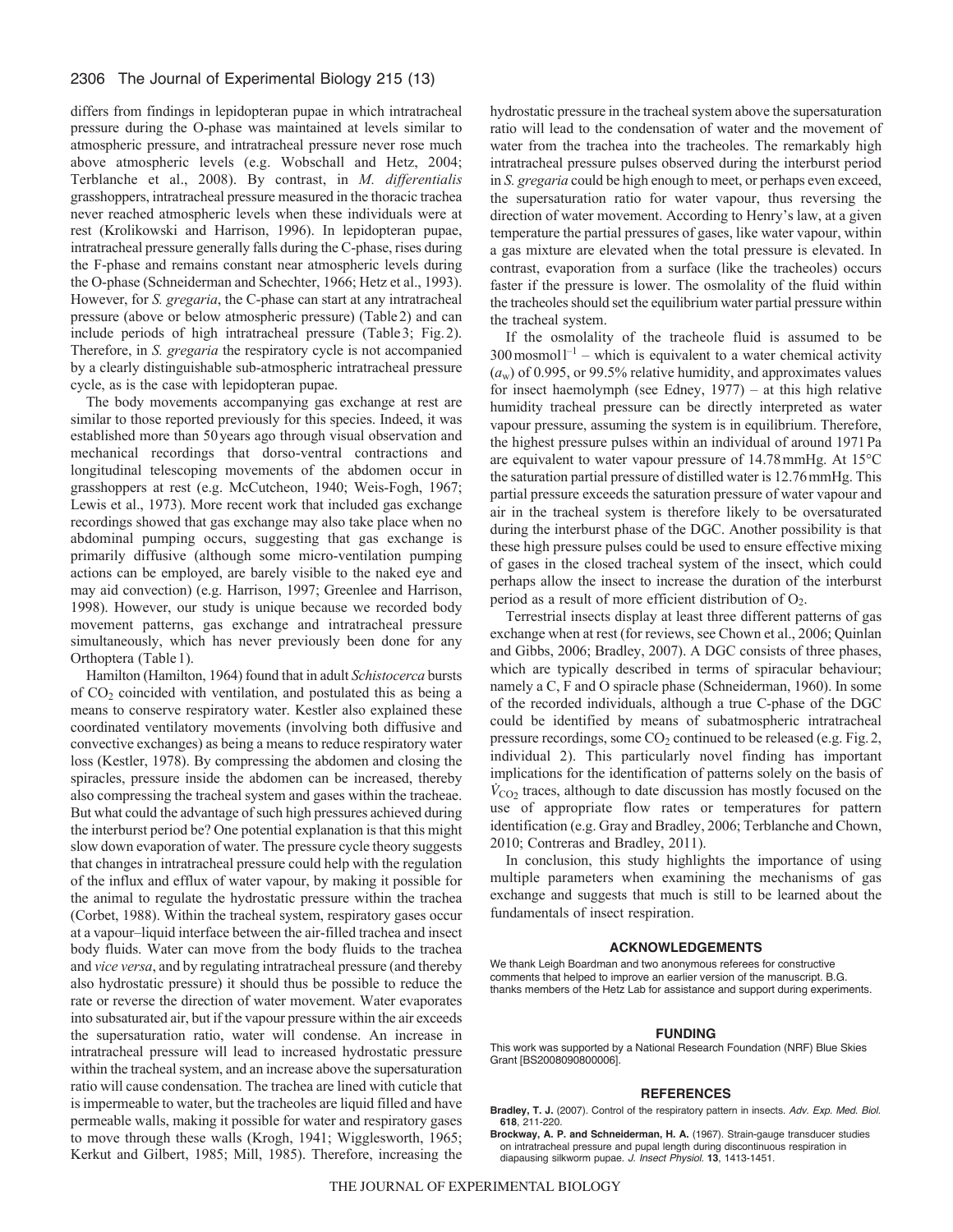differs from findings in lepidopteran pupae in which intratracheal pressure during the O-phase was maintained at levels similar to atmospheric pressure, and intratracheal pressure never rose much above atmospheric levels (e.g. Wobschall and Hetz, 2004; Terblanche et al., 2008). By contrast, in *M. differentialis* grasshoppers, intratracheal pressure measured in the thoracic trachea never reached atmospheric levels when these individuals were at rest (Krolikowski and Harrison, 1996). In lepidopteran pupae, intratracheal pressure generally falls during the C-phase, rises during the F-phase and remains constant near atmospheric levels during the O-phase (Schneiderman and Schechter, 1966; Hetz et al., 1993). However, for *S. gregaria*, the C-phase can start at any intratracheal pressure (above or below atmospheric pressure) (Table2) and can include periods of high intratracheal pressure (Table3; Fig.2). Therefore, in *S. gregaria* the respiratory cycle is not accompanied by a clearly distinguishable sub-atmospheric intratracheal pressure cycle, as is the case with lepidopteran pupae.

The body movements accompanying gas exchange at rest are similar to those reported previously for this species. Indeed, it was established more than 50years ago through visual observation and mechanical recordings that dorso-ventral contractions and longitudinal telescoping movements of the abdomen occur in grasshoppers at rest (e.g. McCutcheon, 1940; Weis-Fogh, 1967; Lewis et al., 1973). More recent work that included gas exchange recordings showed that gas exchange may also take place when no abdominal pumping occurs, suggesting that gas exchange is primarily diffusive (although some micro-ventilation pumping actions can be employed, are barely visible to the naked eye and may aid convection) (e.g. Harrison, 1997; Greenlee and Harrison, 1998). However, our study is unique because we recorded body movement patterns, gas exchange and intratracheal pressure simultaneously, which has never previously been done for any Orthoptera (Table 1).

Hamilton (Hamilton, 1964) found that in adult *Schistocerca* bursts of  $CO<sub>2</sub>$  coincided with ventilation, and postulated this as being a means to conserve respiratory water. Kestler also explained these coordinated ventilatory movements (involving both diffusive and convective exchanges) as being a means to reduce respiratory water loss (Kestler, 1978). By compressing the abdomen and closing the spiracles, pressure inside the abdomen can be increased, thereby also compressing the tracheal system and gases within the tracheae. But what could the advantage of such high pressures achieved during the interburst period be? One potential explanation is that this might slow down evaporation of water. The pressure cycle theory suggests that changes in intratracheal pressure could help with the regulation of the influx and efflux of water vapour, by making it possible for the animal to regulate the hydrostatic pressure within the trachea (Corbet, 1988). Within the tracheal system, respiratory gases occur at a vapour–liquid interface between the air-filled trachea and insect body fluids. Water can move from the body fluids to the trachea and *vice versa*, and by regulating intratracheal pressure (and thereby also hydrostatic pressure) it should thus be possible to reduce the rate or reverse the direction of water movement. Water evaporates into subsaturated air, but if the vapour pressure within the air exceeds the supersaturation ratio, water will condense. An increase in intratracheal pressure will lead to increased hydrostatic pressure within the tracheal system, and an increase above the supersaturation ratio will cause condensation. The trachea are lined with cuticle that is impermeable to water, but the tracheoles are liquid filled and have permeable walls, making it possible for water and respiratory gases to move through these walls (Krogh, 1941; Wigglesworth, 1965; Kerkut and Gilbert, 1985; Mill, 1985). Therefore, increasing the hydrostatic pressure in the tracheal system above the supersaturation ratio will lead to the condensation of water and the movement of water from the trachea into the tracheoles. The remarkably high intratracheal pressure pulses observed during the interburst period in *S. gregaria* could be high enough to meet, or perhaps even exceed, the supersaturation ratio for water vapour, thus reversing the direction of water movement. According to Henry's law, at a given temperature the partial pressures of gases, like water vapour, within a gas mixture are elevated when the total pressure is elevated. In contrast, evaporation from a surface (like the tracheoles) occurs faster if the pressure is lower. The osmolality of the fluid within the tracheoles should set the equilibrium water partial pressure within the tracheal system.

If the osmolality of the tracheole fluid is assumed to be  $300$  mosmol  $l^{-1}$  – which is equivalent to a water chemical activity (*a*w) of 0.995, or 99.5% relative humidity, and approximates values for insect haemolymph (see Edney, 1977) – at this high relative humidity tracheal pressure can be directly interpreted as water vapour pressure, assuming the system is in equilibrium. Therefore, the highest pressure pulses within an individual of around 1971Pa are equivalent to water vapour pressure of 14.78mmHg. At 15°C the saturation partial pressure of distilled water is 12.76mmHg. This partial pressure exceeds the saturation pressure of water vapour and air in the tracheal system is therefore likely to be oversaturated during the interburst phase of the DGC. Another possibility is that these high pressure pulses could be used to ensure effective mixing of gases in the closed tracheal system of the insect, which could perhaps allow the insect to increase the duration of the interburst period as a result of more efficient distribution of  $O_2$ .

Terrestrial insects display at least three different patterns of gas exchange when at rest (for reviews, see Chown et al., 2006; Quinlan and Gibbs, 2006; Bradley, 2007). A DGC consists of three phases, which are typically described in terms of spiracular behaviour; namely a C, F and O spiracle phase (Schneiderman, 1960). In some of the recorded individuals, although a true C-phase of the DGC could be identified by means of subatmospheric intratracheal pressure recordings, some  $CO<sub>2</sub>$  continued to be released (e.g. Fig. 2, individual 2). This particularly novel finding has important implications for the identification of patterns solely on the basis of  $V_{\text{CO}_2}$  traces, although to date discussion has mostly focused on the use of appropriate flow rates or temperatures for pattern identification (e.g. Gray and Bradley, 2006; Terblanche and Chown, 2010; Contreras and Bradley, 2011).

In conclusion, this study highlights the importance of using multiple parameters when examining the mechanisms of gas exchange and suggests that much is still to be learned about the fundamentals of insect respiration.

#### **ACKNOWLEDGEMENTS**

We thank Leigh Boardman and two anonymous referees for constructive comments that helped to improve an earlier version of the manuscript. B.G. thanks members of the Hetz Lab for assistance and support during experiments.

#### **FUNDING**

This work was supported by a National Research Foundation (NRF) Blue Skies Grant [BS2008090800006].

#### **REFERENCES**

- **Bradley, T. J.** (2007). Control of the respiratory pattern in insects. *Adv. Exp. Med. Biol.* **618**, 211-220.
- **Brockway, A. P. and Schneiderman, H. A.** (1967). Strain-gauge transducer studies on intratracheal pressure and pupal length during discontinuous respiration in diapausing silkworm pupae. *J. Insect Physiol.* **13**, 1413-1451.